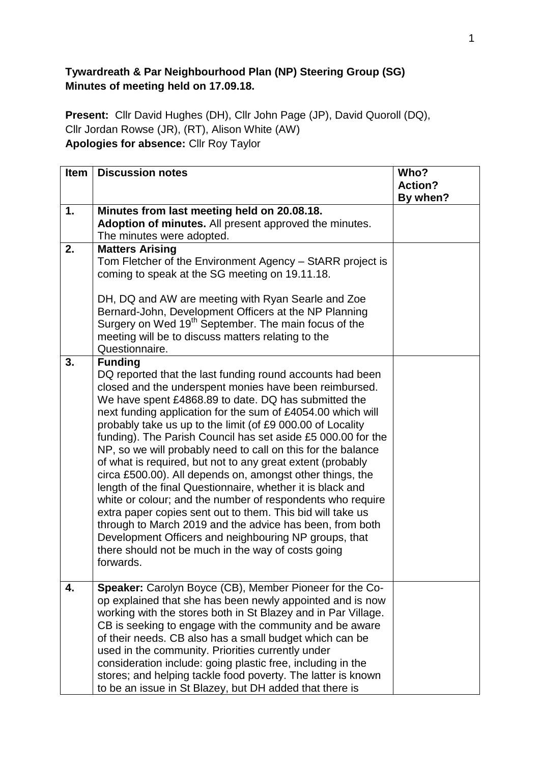## **Tywardreath & Par Neighbourhood Plan (NP) Steering Group (SG) Minutes of meeting held on 17.09.18.**

**Present:** Cllr David Hughes (DH), Cllr John Page (JP), David Quoroll (DQ), Cllr Jordan Rowse (JR), (RT), Alison White (AW) **Apologies for absence:** Cllr Roy Taylor

| <b>Item</b> | <b>Discussion notes</b>                                                                                                                                                                                                                                                                                                                                                                                                                                                                                                                                                                                                                                                                                                                                                                                                                                                                                                                                                 | Who?<br><b>Action?</b><br>By when? |
|-------------|-------------------------------------------------------------------------------------------------------------------------------------------------------------------------------------------------------------------------------------------------------------------------------------------------------------------------------------------------------------------------------------------------------------------------------------------------------------------------------------------------------------------------------------------------------------------------------------------------------------------------------------------------------------------------------------------------------------------------------------------------------------------------------------------------------------------------------------------------------------------------------------------------------------------------------------------------------------------------|------------------------------------|
| 1.          | Minutes from last meeting held on 20.08.18.<br>Adoption of minutes. All present approved the minutes.<br>The minutes were adopted.                                                                                                                                                                                                                                                                                                                                                                                                                                                                                                                                                                                                                                                                                                                                                                                                                                      |                                    |
| 2.          | <b>Matters Arising</b><br>Tom Fletcher of the Environment Agency - StARR project is<br>coming to speak at the SG meeting on 19.11.18.<br>DH, DQ and AW are meeting with Ryan Searle and Zoe<br>Bernard-John, Development Officers at the NP Planning<br>Surgery on Wed 19 <sup>th</sup> September. The main focus of the<br>meeting will be to discuss matters relating to the<br>Questionnaire.                                                                                                                                                                                                                                                                                                                                                                                                                                                                                                                                                                        |                                    |
| 3.          | <b>Funding</b><br>DQ reported that the last funding round accounts had been<br>closed and the underspent monies have been reimbursed.<br>We have spent £4868.89 to date. DQ has submitted the<br>next funding application for the sum of £4054.00 which will<br>probably take us up to the limit (of £9 000.00 of Locality<br>funding). The Parish Council has set aside £5 000.00 for the<br>NP, so we will probably need to call on this for the balance<br>of what is required, but not to any great extent (probably<br>circa £500.00). All depends on, amongst other things, the<br>length of the final Questionnaire, whether it is black and<br>white or colour; and the number of respondents who require<br>extra paper copies sent out to them. This bid will take us<br>through to March 2019 and the advice has been, from both<br>Development Officers and neighbouring NP groups, that<br>there should not be much in the way of costs going<br>forwards. |                                    |
| 4.          | Speaker: Carolyn Boyce (CB), Member Pioneer for the Co-<br>op explained that she has been newly appointed and is now<br>working with the stores both in St Blazey and in Par Village.<br>CB is seeking to engage with the community and be aware<br>of their needs. CB also has a small budget which can be<br>used in the community. Priorities currently under<br>consideration include: going plastic free, including in the<br>stores; and helping tackle food poverty. The latter is known<br>to be an issue in St Blazey, but DH added that there is                                                                                                                                                                                                                                                                                                                                                                                                              |                                    |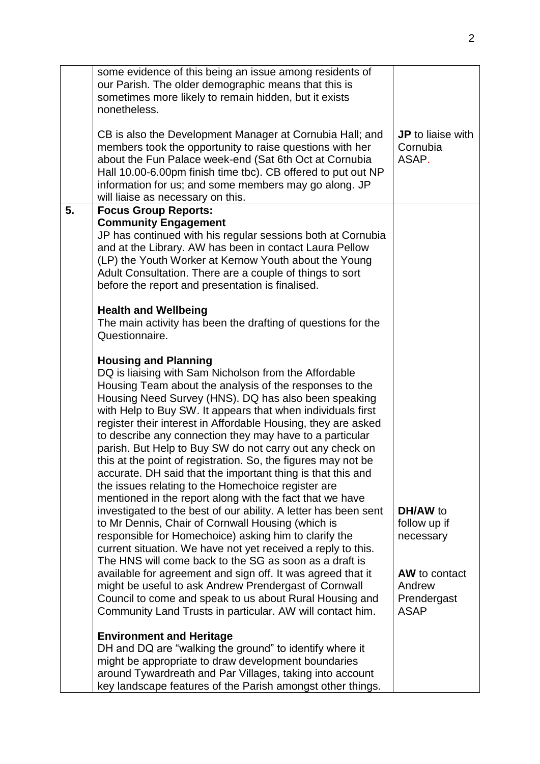|    | some evidence of this being an issue among residents of<br>our Parish. The older demographic means that this is<br>sometimes more likely to remain hidden, but it exists<br>nonetheless.                                                                                                                                                                                                                                                                                                                                                                                                                                                                                                                                                                                                                                                                                                                                                                                                                                                                                                                                                                                                                                                                                     |                                                                                                |
|----|------------------------------------------------------------------------------------------------------------------------------------------------------------------------------------------------------------------------------------------------------------------------------------------------------------------------------------------------------------------------------------------------------------------------------------------------------------------------------------------------------------------------------------------------------------------------------------------------------------------------------------------------------------------------------------------------------------------------------------------------------------------------------------------------------------------------------------------------------------------------------------------------------------------------------------------------------------------------------------------------------------------------------------------------------------------------------------------------------------------------------------------------------------------------------------------------------------------------------------------------------------------------------|------------------------------------------------------------------------------------------------|
|    | CB is also the Development Manager at Cornubia Hall; and<br>members took the opportunity to raise questions with her<br>about the Fun Palace week-end (Sat 6th Oct at Cornubia<br>Hall 10.00-6.00pm finish time tbc). CB offered to put out NP<br>information for us; and some members may go along. JP<br>will liaise as necessary on this.                                                                                                                                                                                                                                                                                                                                                                                                                                                                                                                                                                                                                                                                                                                                                                                                                                                                                                                                 | <b>JP</b> to liaise with<br>Cornubia<br>ASAP.                                                  |
| 5. | <b>Focus Group Reports:</b><br><b>Community Engagement</b><br>JP has continued with his regular sessions both at Cornubia<br>and at the Library. AW has been in contact Laura Pellow<br>(LP) the Youth Worker at Kernow Youth about the Young<br>Adult Consultation. There are a couple of things to sort<br>before the report and presentation is finalised.                                                                                                                                                                                                                                                                                                                                                                                                                                                                                                                                                                                                                                                                                                                                                                                                                                                                                                                |                                                                                                |
|    | <b>Health and Wellbeing</b><br>The main activity has been the drafting of questions for the<br>Questionnaire.                                                                                                                                                                                                                                                                                                                                                                                                                                                                                                                                                                                                                                                                                                                                                                                                                                                                                                                                                                                                                                                                                                                                                                |                                                                                                |
|    | <b>Housing and Planning</b><br>DQ is liaising with Sam Nicholson from the Affordable<br>Housing Team about the analysis of the responses to the<br>Housing Need Survey (HNS). DQ has also been speaking<br>with Help to Buy SW. It appears that when individuals first<br>register their interest in Affordable Housing, they are asked<br>to describe any connection they may have to a particular<br>parish. But Help to Buy SW do not carry out any check on<br>this at the point of registration. So, the figures may not be<br>accurate. DH said that the important thing is that this and<br>the issues relating to the Homechoice register are<br>mentioned in the report along with the fact that we have<br>investigated to the best of our ability. A letter has been sent<br>to Mr Dennis, Chair of Cornwall Housing (which is<br>responsible for Homechoice) asking him to clarify the<br>current situation. We have not yet received a reply to this.<br>The HNS will come back to the SG as soon as a draft is<br>available for agreement and sign off. It was agreed that it<br>might be useful to ask Andrew Prendergast of Cornwall<br>Council to come and speak to us about Rural Housing and<br>Community Land Trusts in particular. AW will contact him. | DH/AW to<br>follow up if<br>necessary<br>AW to contact<br>Andrew<br>Prendergast<br><b>ASAP</b> |
|    | <b>Environment and Heritage</b><br>DH and DQ are "walking the ground" to identify where it<br>might be appropriate to draw development boundaries<br>around Tywardreath and Par Villages, taking into account<br>key landscape features of the Parish amongst other things.                                                                                                                                                                                                                                                                                                                                                                                                                                                                                                                                                                                                                                                                                                                                                                                                                                                                                                                                                                                                  |                                                                                                |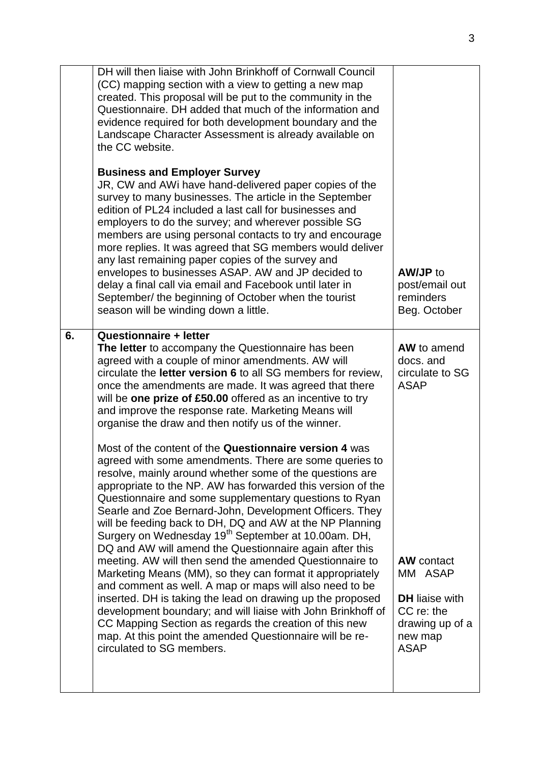|    | DH will then liaise with John Brinkhoff of Cornwall Council<br>(CC) mapping section with a view to getting a new map<br>created. This proposal will be put to the community in the<br>Questionnaire. DH added that much of the information and<br>evidence required for both development boundary and the<br>Landscape Character Assessment is already available on<br>the CC website.<br><b>Business and Employer Survey</b><br>JR, CW and AWI have hand-delivered paper copies of the<br>survey to many businesses. The article in the September<br>edition of PL24 included a last call for businesses and<br>employers to do the survey; and wherever possible SG<br>members are using personal contacts to try and encourage<br>more replies. It was agreed that SG members would deliver<br>any last remaining paper copies of the survey and<br>envelopes to businesses ASAP. AW and JP decided to<br>delay a final call via email and Facebook until later in<br>September/ the beginning of October when the tourist<br>season will be winding down a little.                                                                                                                                                                                                                                                                                                                                                                                                                  | <b>AW/JP</b> to<br>post/email out<br>reminders<br>Beg. October                                                                                                                 |
|----|-----------------------------------------------------------------------------------------------------------------------------------------------------------------------------------------------------------------------------------------------------------------------------------------------------------------------------------------------------------------------------------------------------------------------------------------------------------------------------------------------------------------------------------------------------------------------------------------------------------------------------------------------------------------------------------------------------------------------------------------------------------------------------------------------------------------------------------------------------------------------------------------------------------------------------------------------------------------------------------------------------------------------------------------------------------------------------------------------------------------------------------------------------------------------------------------------------------------------------------------------------------------------------------------------------------------------------------------------------------------------------------------------------------------------------------------------------------------------------------------|--------------------------------------------------------------------------------------------------------------------------------------------------------------------------------|
| 6. | <b>Questionnaire + letter</b><br>The letter to accompany the Questionnaire has been<br>agreed with a couple of minor amendments. AW will<br>circulate the <b>letter version 6</b> to all SG members for review,<br>once the amendments are made. It was agreed that there<br>will be one prize of £50.00 offered as an incentive to try<br>and improve the response rate. Marketing Means will<br>organise the draw and then notify us of the winner.<br>Most of the content of the Questionnaire version 4 was<br>agreed with some amendments. There are some queries to<br>resolve, mainly around whether some of the questions are<br>appropriate to the NP. AW has forwarded this version of the<br>Questionnaire and some supplementary questions to Ryan<br>Searle and Zoe Bernard-John, Development Officers. They<br>will be feeding back to DH, DQ and AW at the NP Planning<br>Surgery on Wednesday 19 <sup>th</sup> September at 10.00am. DH,<br>DQ and AW will amend the Questionnaire again after this<br>meeting. AW will then send the amended Questionnaire to<br>Marketing Means (MM), so they can format it appropriately<br>and comment as well. A map or maps will also need to be<br>inserted. DH is taking the lead on drawing up the proposed<br>development boundary; and will liaise with John Brinkhoff of<br>CC Mapping Section as regards the creation of this new<br>map. At this point the amended Questionnaire will be re-<br>circulated to SG members. | AW to amend<br>docs. and<br>circulate to SG<br><b>ASAP</b><br><b>AW</b> contact<br>MM ASAP<br><b>DH</b> liaise with<br>CC re: the<br>drawing up of a<br>new map<br><b>ASAP</b> |